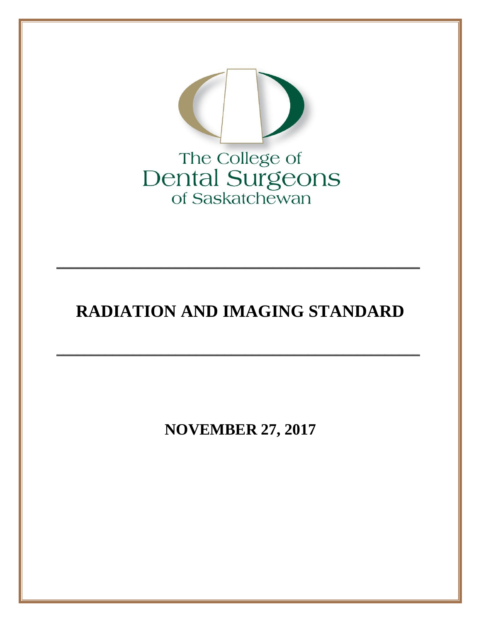

# RADIATION AND IMAGING STANDARD

**NOVEMBER 27, 2017**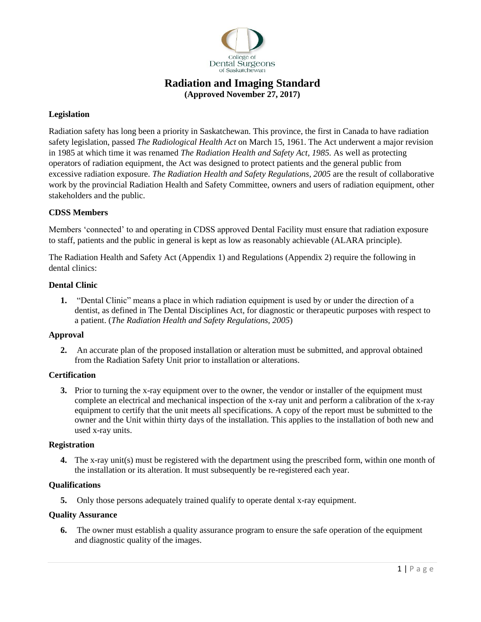

## **Radiation and Imaging Standard (Approved November 27, 2017)**

## **Legislation**

Radiation safety has long been a priority in Saskatchewan. This province, the first in Canada to have radiation safety legislation, passed *The Radiological Health Act* on March 15, 1961. The Act underwent a major revision in 1985 at which time it was renamed *The Radiation Health and Safety Act, 1985.* As well as protecting operators of radiation equipment, the Act was designed to protect patients and the general public from excessive radiation exposure. *The Radiation Health and Safety Regulations, 2005* are the result of collaborative work by the provincial Radiation Health and Safety Committee, owners and users of radiation equipment, other stakeholders and the public.

## **CDSS Members**

Members 'connected' to and operating in CDSS approved Dental Facility must ensure that radiation exposure to staff, patients and the public in general is kept as low as reasonably achievable (ALARA principle).

The Radiation Health and Safety Act (Appendix 1) and Regulations (Appendix 2) require the following in dental clinics:

## **Dental Clinic**

**1.** "Dental Clinic" means a place in which radiation equipment is used by or under the direction of a dentist, as defined in The Dental Disciplines Act, for diagnostic or therapeutic purposes with respect to a patient. (*The Radiation Health and Safety Regulations, 2005*)

## **Approval**

**2.** An accurate plan of the proposed installation or alteration must be submitted, and approval obtained from the Radiation Safety Unit prior to installation or alterations.

## **Certification**

**3.** Prior to turning the x-ray equipment over to the owner, the vendor or installer of the equipment must complete an electrical and mechanical inspection of the x-ray unit and perform a calibration of the x-ray equipment to certify that the unit meets all specifications. A copy of the report must be submitted to the owner and the Unit within thirty days of the installation. This applies to the installation of both new and used x-ray units.

## **Registration**

**4.** The x-ray unit(s) must be registered with the department using the prescribed form, within one month of the installation or its alteration. It must subsequently be re-registered each year.

## **Qualifications**

**5.** Only those persons adequately trained qualify to operate dental x-ray equipment.

#### **Quality Assurance**

**6.** The owner must establish a quality assurance program to ensure the safe operation of the equipment and diagnostic quality of the images.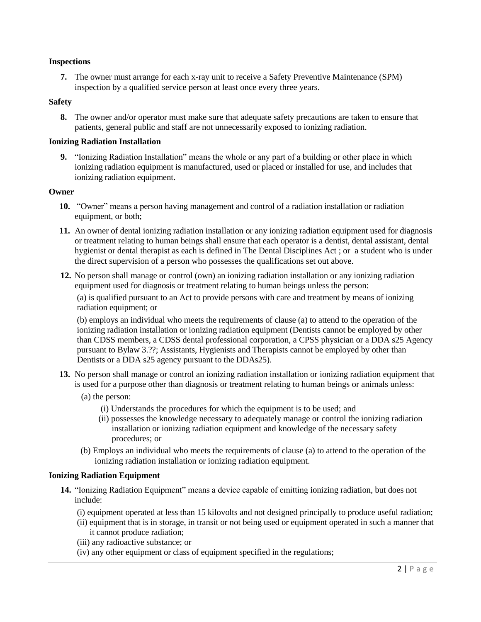#### **Inspections**

**7.** The owner must arrange for each x-ray unit to receive a Safety Preventive Maintenance (SPM) inspection by a qualified service person at least once every three years.

#### **Safety**

**8.** The owner and/or operator must make sure that adequate safety precautions are taken to ensure that patients, general public and staff are not unnecessarily exposed to ionizing radiation.

#### **Ionizing Radiation Installation**

**9.** "Ionizing Radiation Installation" means the whole or any part of a building or other place in which ionizing radiation equipment is manufactured, used or placed or installed for use, and includes that ionizing radiation equipment.

#### **Owner**

- **10.** "Owner" means a person having management and control of a radiation installation or radiation equipment, or both;
- **11.** An owner of dental ionizing radiation installation or any ionizing radiation equipment used for diagnosis or treatment relating to human beings shall ensure that each operator is a dentist, dental assistant, dental hygienist or dental therapist as each is defined in The Dental Disciplines Act ; or a student who is under the direct supervision of a person who possesses the qualifications set out above.
- **12.** No person shall manage or control (own) an ionizing radiation installation or any ionizing radiation equipment used for diagnosis or treatment relating to human beings unless the person:

(a) is qualified pursuant to an Act to provide persons with care and treatment by means of ionizing radiation equipment; or

(b) employs an individual who meets the requirements of clause (a) to attend to the operation of the ionizing radiation installation or ionizing radiation equipment (Dentists cannot be employed by other than CDSS members, a CDSS dental professional corporation, a CPSS physician or a DDA s25 Agency pursuant to Bylaw 3.??; Assistants, Hygienists and Therapists cannot be employed by other than Dentists or a DDA s25 agency pursuant to the DDAs25).

- **13.** No person shall manage or control an ionizing radiation installation or ionizing radiation equipment that is used for a purpose other than diagnosis or treatment relating to human beings or animals unless:
	- (a) the person:
		- (i) Understands the procedures for which the equipment is to be used; and
		- (ii) possesses the knowledge necessary to adequately manage or control the ionizing radiation installation or ionizing radiation equipment and knowledge of the necessary safety procedures; or
	- (b) Employs an individual who meets the requirements of clause (a) to attend to the operation of the ionizing radiation installation or ionizing radiation equipment.

#### **Ionizing Radiation Equipment**

- **14.** "Ionizing Radiation Equipment" means a device capable of emitting ionizing radiation, but does not include:
	- (i) equipment operated at less than 15 kilovolts and not designed principally to produce useful radiation;
	- (ii) equipment that is in storage, in transit or not being used or equipment operated in such a manner that it cannot produce radiation;
	- (iii) any radioactive substance; or
	- (iv) any other equipment or class of equipment specified in the regulations;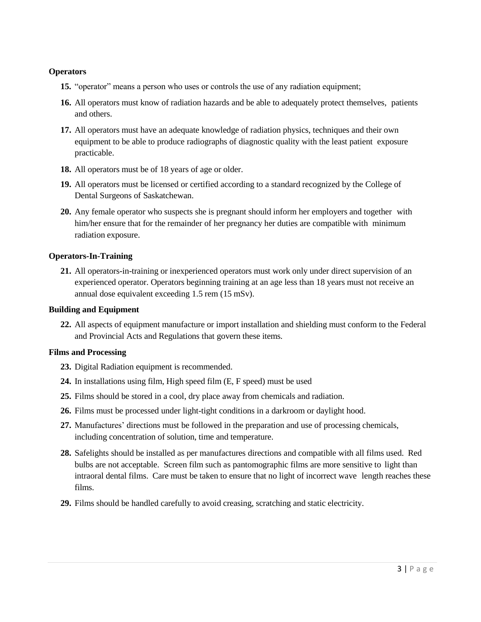## **Operators**

- **15.** "operator" means a person who uses or controls the use of any radiation equipment;
- **16.** All operators must know of radiation hazards and be able to adequately protect themselves, patients and others.
- **17.** All operators must have an adequate knowledge of radiation physics, techniques and their own equipment to be able to produce radiographs of diagnostic quality with the least patient exposure practicable.
- **18.** All operators must be of 18 years of age or older.
- **19.** All operators must be licensed or certified according to a standard recognized by the College of Dental Surgeons of Saskatchewan.
- **20.** Any female operator who suspects she is pregnant should inform her employers and together with him/her ensure that for the remainder of her pregnancy her duties are compatible with minimum radiation exposure.

## **Operators-In-Training**

**21.** All operators-in-training or inexperienced operators must work only under direct supervision of an experienced operator. Operators beginning training at an age less than 18 years must not receive an annual dose equivalent exceeding 1.5 rem (15 mSv).

## **Building and Equipment**

**22.** All aspects of equipment manufacture or import installation and shielding must conform to the Federal and Provincial Acts and Regulations that govern these items.

## **Films and Processing**

- **23.** Digital Radiation equipment is recommended.
- **24.** In installations using film, High speed film (E, F speed) must be used
- **25.** Films should be stored in a cool, dry place away from chemicals and radiation.
- **26.** Films must be processed under light-tight conditions in a darkroom or daylight hood.
- **27.** Manufactures' directions must be followed in the preparation and use of processing chemicals, including concentration of solution, time and temperature.
- **28.** Safelights should be installed as per manufactures directions and compatible with all films used. Red bulbs are not acceptable. Screen film such as pantomographic films are more sensitive to light than intraoral dental films. Care must be taken to ensure that no light of incorrect wave length reaches these films.
- **29.** Films should be handled carefully to avoid creasing, scratching and static electricity.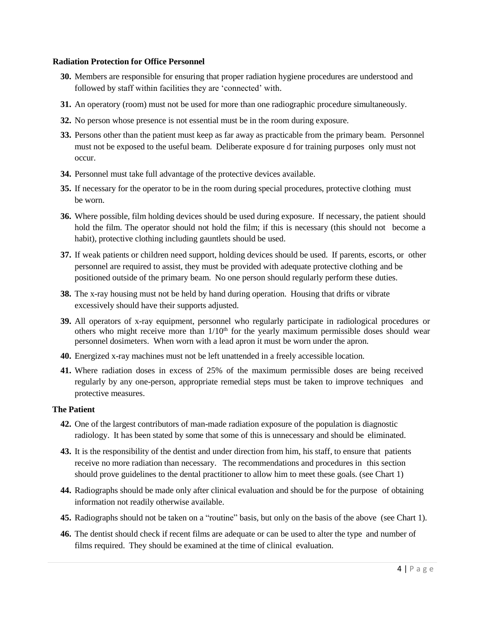#### **Radiation Protection for Office Personnel**

- **30.** Members are responsible for ensuring that proper radiation hygiene procedures are understood and followed by staff within facilities they are 'connected' with.
- **31.** An operatory (room) must not be used for more than one radiographic procedure simultaneously.
- **32.** No person whose presence is not essential must be in the room during exposure.
- **33.** Persons other than the patient must keep as far away as practicable from the primary beam. Personnel must not be exposed to the useful beam. Deliberate exposure d for training purposes only must not occur.
- **34.** Personnel must take full advantage of the protective devices available.
- **35.** If necessary for the operator to be in the room during special procedures, protective clothing must be worn.
- **36.** Where possible, film holding devices should be used during exposure. If necessary, the patient should hold the film. The operator should not hold the film; if this is necessary (this should not become a habit), protective clothing including gauntlets should be used.
- **37.** If weak patients or children need support, holding devices should be used. If parents, escorts, or other personnel are required to assist, they must be provided with adequate protective clothing and be positioned outside of the primary beam. No one person should regularly perform these duties.
- **38.** The x-ray housing must not be held by hand during operation. Housing that drifts or vibrate excessively should have their supports adjusted.
- **39.** All operators of x-ray equipment, personnel who regularly participate in radiological procedures or others who might receive more than  $1/10<sup>th</sup>$  for the yearly maximum permissible doses should wear personnel dosimeters. When worn with a lead apron it must be worn under the apron.
- **40.** Energized x-ray machines must not be left unattended in a freely accessible location.
- **41.** Where radiation doses in excess of 25% of the maximum permissible doses are being received regularly by any one-person, appropriate remedial steps must be taken to improve techniques and protective measures.

#### **The Patient**

- **42.** One of the largest contributors of man-made radiation exposure of the population is diagnostic radiology. It has been stated by some that some of this is unnecessary and should be eliminated.
- **43.** It is the responsibility of the dentist and under direction from him, his staff, to ensure that patients receive no more radiation than necessary. The recommendations and procedures in this section should prove guidelines to the dental practitioner to allow him to meet these goals. (see Chart 1)
- **44.** Radiographs should be made only after clinical evaluation and should be for the purpose of obtaining information not readily otherwise available.
- **45.** Radiographs should not be taken on a "routine" basis, but only on the basis of the above (see Chart 1).
- **46.** The dentist should check if recent films are adequate or can be used to alter the type and number of films required. They should be examined at the time of clinical evaluation.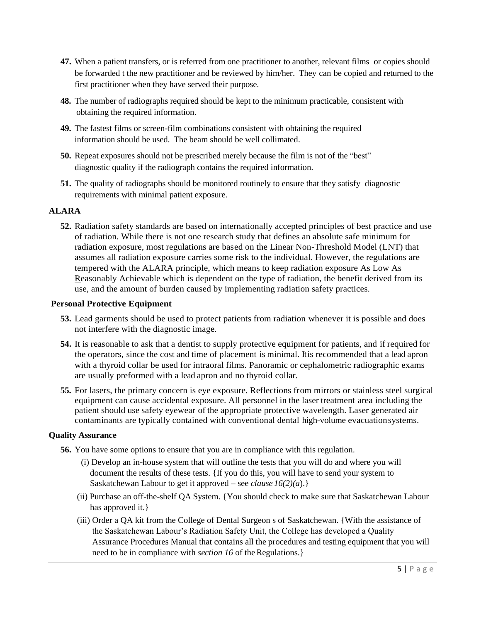- **47.** When a patient transfers, or is referred from one practitioner to another, relevant films or copies should be forwarded t the new practitioner and be reviewed by him/her. They can be copied and returned to the first practitioner when they have served their purpose.
- **48.** The number of radiographs required should be kept to the minimum practicable, consistent with obtaining the required information.
- **49.** The fastest films or screen-film combinations consistent with obtaining the required information should be used. The beam should be well collimated.
- **50.** Repeat exposures should not be prescribed merely because the film is not of the "best" diagnostic quality if the radiograph contains the required information.
- **51.** The quality of radiographs should be monitored routinely to ensure that they satisfy diagnostic requirements with minimal patient exposure.

## **ALARA**

**52.** Radiation safety standards are based on internationally accepted principles of best practice and use of radiation. While there is not one research study that defines an absolute safe minimum for radiation exposure, most regulations are based on the Linear Non-Threshold Model (LNT) that assumes all radiation exposure carries some risk to the individual. However, the regulations are tempered with the ALARA principle, which means to keep radiation exposure As Low As Reasonably Achievable which is dependent on the type of radiation, the benefit derived from its use, and the amount of burden caused by implementing radiation safety practices.

## **Personal Protective Equipment**

- **53.** Lead garments should be used to protect patients from radiation whenever it is possible and does not interfere with the diagnostic image.
- **54.** It is reasonable to ask that a dentist to supply protective equipment for patients, and if required for the operators, since the cost and time of placement is minimal. It is recommended that a lead apron with a thyroid collar be used for intraoral films. Panoramic or cephalometric radiographic exams are usually preformed with a lead apron and no thyroid collar.
- **55.** For lasers, the primary concern is eye exposure. Reflections from mirrors or stainless steel surgical equipment can cause accidental exposure. All personnel in the laser treatment area including the patient should use safety eyewear of the appropriate protective wavelength. Laser generated air contaminants are typically contained with conventional dental high-volume evacuationsystems.

## **Quality Assurance**

- **56.** You have some options to ensure that you are in compliance with this regulation.
	- (i) Develop an in-house system that will outline the tests that you will do and where you will document the results of these tests. {If you do this, you will have to send your system to Saskatchewan Labour to get it approved – see *clause 16(2)(a*).}
	- (ii) Purchase an off-the-shelf QA System. {You should check to make sure that Saskatchewan Labour has approved it.  $\}$
	- (iii) Order a QA kit from the College of Dental Surgeon s of Saskatchewan. {With the assistance of the Saskatchewan Labour's Radiation Safety Unit, the College has developed a Quality Assurance Procedures Manual that contains all the procedures and testing equipment that you will need to be in compliance with *section 16* of the Regulations.}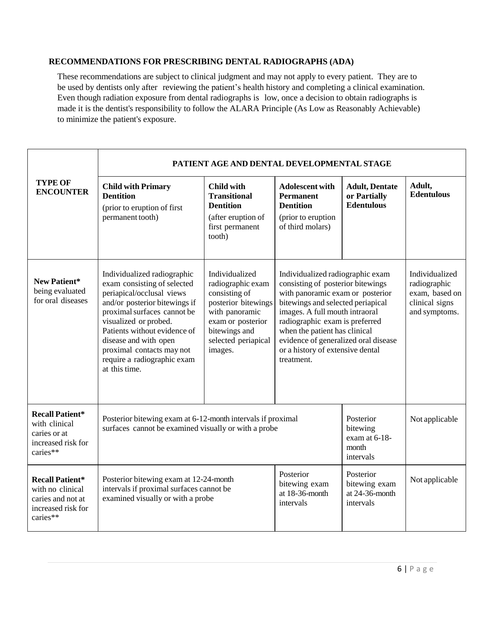## **RECOMMENDATIONS FOR PRESCRIBING DENTAL RADIOGRAPHS (ADA)**

These recommendations are subject to clinical judgment and may not apply to every patient. They are to be used by dentists only after reviewing the patient's health history and completing a clinical examination. Even though radiation exposure from dental radiographs is low, once a decision to obtain radiographs is made it is the dentist's responsibility to follow the ALARA Principle (As Low as Reasonably Achievable) to minimize the patient's exposure.

|                                                                                                   | PATIENT AGE AND DENTAL DEVELOPMENTAL STAGE                                                                                                                                                                                                                                                                             |                                                                                                                                                                       |                                                                                                                                                                                                                                                                                                                                               |                                                              |                                                                                     |
|---------------------------------------------------------------------------------------------------|------------------------------------------------------------------------------------------------------------------------------------------------------------------------------------------------------------------------------------------------------------------------------------------------------------------------|-----------------------------------------------------------------------------------------------------------------------------------------------------------------------|-----------------------------------------------------------------------------------------------------------------------------------------------------------------------------------------------------------------------------------------------------------------------------------------------------------------------------------------------|--------------------------------------------------------------|-------------------------------------------------------------------------------------|
| <b>TYPE OF</b><br><b>ENCOUNTER</b>                                                                | <b>Child with Primary</b><br><b>Dentition</b><br>(prior to eruption of first<br>permanent tooth)                                                                                                                                                                                                                       | <b>Child with</b><br><b>Transitional</b><br><b>Dentition</b><br>(after eruption of<br>first permanent<br>tooth)                                                       | <b>Adolescent with</b><br><b>Permanent</b><br><b>Dentition</b><br>(prior to eruption<br>of third molars)                                                                                                                                                                                                                                      | <b>Adult, Dentate</b><br>or Partially<br><b>Edentulous</b>   | Adult,<br><b>Edentulous</b>                                                         |
| New Patient*<br>being evaluated<br>for oral diseases                                              | Individualized radiographic<br>exam consisting of selected<br>periapical/occlusal views<br>and/or posterior bitewings if<br>proximal surfaces cannot be<br>visualized or probed.<br>Patients without evidence of<br>disease and with open<br>proximal contacts may not<br>require a radiographic exam<br>at this time. | Individualized<br>radiographic exam<br>consisting of<br>posterior bitewings<br>with panoramic<br>exam or posterior<br>bitewings and<br>selected periapical<br>images. | Individualized radiographic exam<br>consisting of posterior bitewings<br>with panoramic exam or posterior<br>bitewings and selected periapical<br>images. A full mouth intraoral<br>radiographic exam is preferred<br>when the patient has clinical<br>evidence of generalized oral disease<br>or a history of extensive dental<br>treatment. |                                                              | Individualized<br>radiographic<br>exam, based on<br>clinical signs<br>and symptoms. |
| <b>Recall Patient*</b><br>with clinical<br>caries or at<br>increased risk for<br>caries**         | Posterior bitewing exam at 6-12-month intervals if proximal<br>surfaces cannot be examined visually or with a probe                                                                                                                                                                                                    |                                                                                                                                                                       |                                                                                                                                                                                                                                                                                                                                               | Posterior<br>bitewing<br>exam at 6-18-<br>month<br>intervals | Not applicable                                                                      |
| <b>Recall Patient*</b><br>with no clinical<br>caries and not at<br>increased risk for<br>caries** | Posterior bitewing exam at 12-24-month<br>intervals if proximal surfaces cannot be<br>examined visually or with a probe                                                                                                                                                                                                |                                                                                                                                                                       | Posterior<br>bitewing exam<br>at 18-36-month<br>intervals                                                                                                                                                                                                                                                                                     | Posterior<br>bitewing exam<br>at $24-36$ -month<br>intervals | Not applicable                                                                      |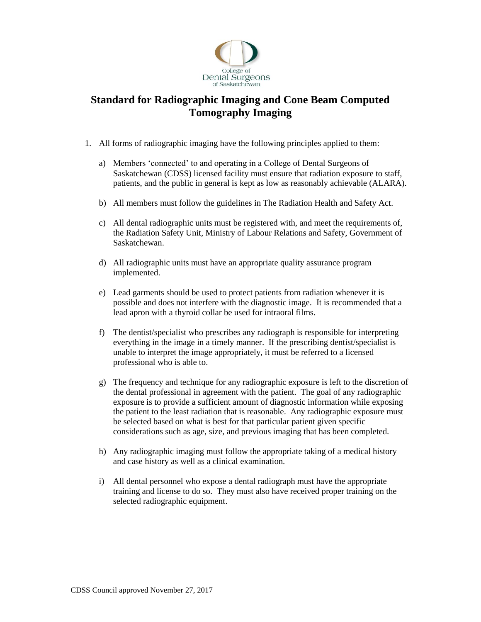

## **Standard for Radiographic Imaging and Cone Beam Computed Tomography Imaging**

- 1. All forms of radiographic imaging have the following principles applied to them:
	- a) Members 'connected' to and operating in a College of Dental Surgeons of Saskatchewan (CDSS) licensed facility must ensure that radiation exposure to staff, patients, and the public in general is kept as low as reasonably achievable (ALARA).
	- b) All members must follow the guidelines in The Radiation Health and Safety Act.
	- c) All dental radiographic units must be registered with, and meet the requirements of, the Radiation Safety Unit, Ministry of Labour Relations and Safety, Government of Saskatchewan.
	- d) All radiographic units must have an appropriate quality assurance program implemented.
	- e) Lead garments should be used to protect patients from radiation whenever it is possible and does not interfere with the diagnostic image. It is recommended that a lead apron with a thyroid collar be used for intraoral films.
	- f) The dentist/specialist who prescribes any radiograph is responsible for interpreting everything in the image in a timely manner. If the prescribing dentist/specialist is unable to interpret the image appropriately, it must be referred to a licensed professional who is able to.
	- g) The frequency and technique for any radiographic exposure is left to the discretion of the dental professional in agreement with the patient. The goal of any radiographic exposure is to provide a sufficient amount of diagnostic information while exposing the patient to the least radiation that is reasonable. Any radiographic exposure must be selected based on what is best for that particular patient given specific considerations such as age, size, and previous imaging that has been completed.
	- h) Any radiographic imaging must follow the appropriate taking of a medical history and case history as well as a clinical examination.
	- i) All dental personnel who expose a dental radiograph must have the appropriate training and license to do so. They must also have received proper training on the selected radiographic equipment.